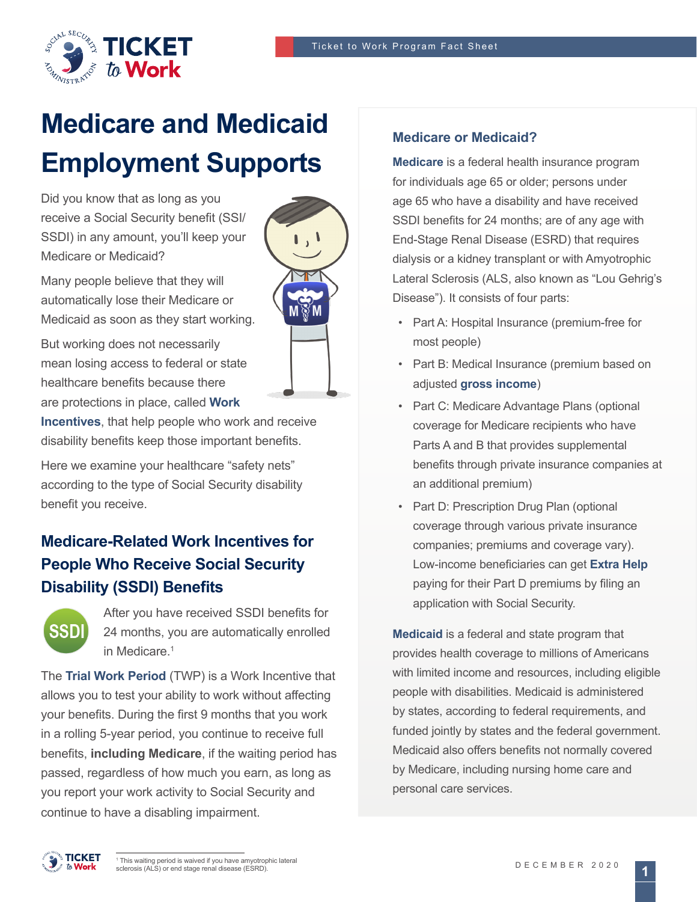$\mathbf{I}$ 



# **Medicare and Medicaid Employment Supports**

Did you know that as long as you receive a Social Security benefit (SSI/ SSDI) in any amount, you'll keep your Medicare or Medicaid?

Many people believe that they will automatically lose their Medicare or Medicaid as soon as they start working.

But working does not necessarily mean losing access to federal or state healthcare benefits because there are protections in place, called **[Work](https://choosework.ssa.gov/about/work-incentives/index.html)** 

**[Incentives](https://choosework.ssa.gov/about/work-incentives/index.html)**, that help people who work and receive disability benefits keep those important benefits.

Here we examine your healthcare "safety nets" according to the type of Social Security disability benefit you receive.

## **Medicare-Related Work Incentives for People Who Receive Social Security Disability (SSDI) Benefits**



After you have received SSDI benefits for 24 months, you are automatically enrolled in Medicare.<sup>1</sup>

The **[Trial Work Period](https://choosework.ssa.gov/library/fact-sheet-trial-work-period-twp)** (TWP) is a Work Incentive that allows you to test your ability to work without affecting your benefits. During the first 9 months that you work in a rolling 5-year period, you continue to receive full benefits, **including Medicare**, if the waiting period has passed, regardless of how much you earn, as long as you report your work activity to Social Security and continue to have a disabling impairment.

#### **Medicare or Medicaid?**

**[Medicare](https://www.medicare.gov)** is a federal health insurance program for individuals age 65 or older; persons under age 65 who have a disability and have received SSDI benefits for 24 months; are of any age with End-Stage Renal Disease (ESRD) that requires dialysis or a kidney transplant or with Amyotrophic Lateral Sclerosis (ALS, also known as "Lou Gehrig's Disease"). It consists of four parts:

- Part A: Hospital Insurance (premium-free for most people)
- Part B: Medical Insurance (premium based on adjusted **[gross income](https://choosework.ssa.gov/blog/2019-04-04-gross-and-net-income-whats-the-difference)**)
- Part C: Medicare Advantage Plans (optional coverage for Medicare recipients who have Parts A and B that provides supplemental benefits through private insurance companies at an additional premium)
- Part D: Prescription Drug Plan (optional coverage through various private insurance companies; premiums and coverage vary). Low-income beneficiaries can get **[Extra Help](https://www.ssa.gov/benefits/medicare/prescriptionhelp/)** paying for their Part D premiums by filing an application with Social Security.

**[Medicaid](https://www.medicaid.gov)** is a federal and state program that provides health coverage to millions of Americans with limited income and resources, including eligible people with disabilities. Medicaid is administered by states, according to federal requirements, and funded jointly by states and the federal government. Medicaid also offers benefits not normally covered by Medicare, including nursing home care and personal care services.

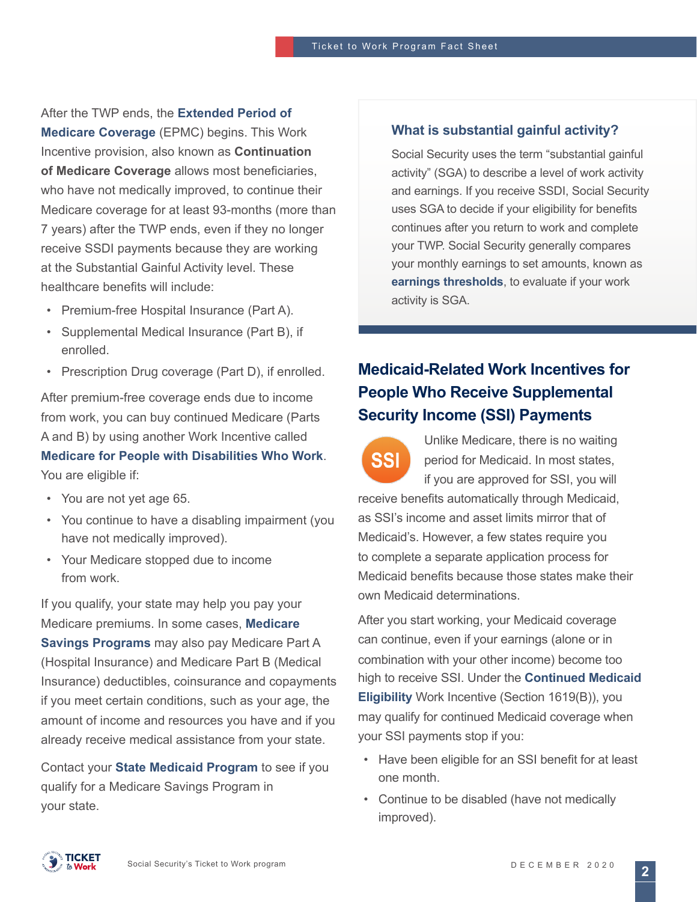After the TWP ends, the **[Extended Period of](https://www.ssa.gov/disabilityresearch/wi/extended.htm)  [Medicare Coverage](https://www.ssa.gov/disabilityresearch/wi/extended.htm)** (EPMC) begins. This Work Incentive provision, also known as **Continuation of Medicare Coverage** allows most beneficiaries, who have not medically improved, to continue their Medicare coverage for at least 93-months (more than 7 years) after the TWP ends, even if they no longer receive SSDI payments because they are working at the Substantial Gainful Activity level. These healthcare benefits will include:

- Premium-free Hospital Insurance (Part A).
- Supplemental Medical Insurance (Part B), if enrolled.
- Prescription Drug coverage (Part D), if enrolled.

After premium-free coverage ends due to income from work, you can buy continued Medicare (Parts A and B) by using another Work Incentive called **[Medicare for People with Disabilities Who Work](https://www.ssa.gov/redbook/eng/ssdi-only-employment-supports.htm)**.

You are eligible if:

- You are not yet age 65.
- You continue to have a disabling impairment (you have not medically improved).
- Your Medicare stopped due to income from work.

If you qualify, your state may help you pay your Medicare premiums. In some cases, **[Medicare](https://www.medicare.gov/your-medicare-costs/get-help-paying-costs/medicare-savings-programs)  [Savings Programs](https://www.medicare.gov/your-medicare-costs/get-help-paying-costs/medicare-savings-programs)** may also pay Medicare Part A (Hospital Insurance) and Medicare Part B (Medical Insurance) deductibles, coinsurance and copayments if you meet certain conditions, such as your age, the amount of income and resources you have and if you already receive medical assistance from your state.

Contact your **[State Medicaid Program](https://www.medicare.gov/Contacts/)** to see if you qualify for a Medicare Savings Program in your state.

#### **What is substantial gainful activity?**

Social Security uses the term "substantial gainful activity" (SGA) to describe a level of work activity and earnings. If you receive SSDI, Social Security uses SGA to decide if your eligibility for benefits continues after you return to work and complete your TWP. Social Security generally compares your monthly earnings to set amounts, known as **[earnings thresholds](https://www.ssa.gov/oact/cola/sga.html)**, to evaluate if your work activity is SGA.

## **Medicaid-Related Work Incentives for People Who Receive Supplemental Security Income (SSI) Payments**



Unlike Medicare, there is no waiting period for Medicaid. In most states, if you are approved for SSI, you will

receive benefits automatically through Medicaid, as SSI's income and asset limits mirror that of Medicaid's. However, a few states require you to complete a separate application process for Medicaid benefits because those states make their own Medicaid determinations.

After you start working, your Medicaid coverage can continue, even if your earnings (alone or in combination with your other income) become too high to receive SSI. Under the **[Continued Medicaid](https://www.ssa.gov/disabilityresearch/wi/1619b.htm)  [Eligibility](https://www.ssa.gov/disabilityresearch/wi/1619b.htm)** Work Incentive (Section 1619(B)), you may qualify for continued Medicaid coverage when your SSI payments stop if you:

- Have been eligible for an SSI benefit for at least one month.
- Continue to be disabled (have not medically improved).



**2**